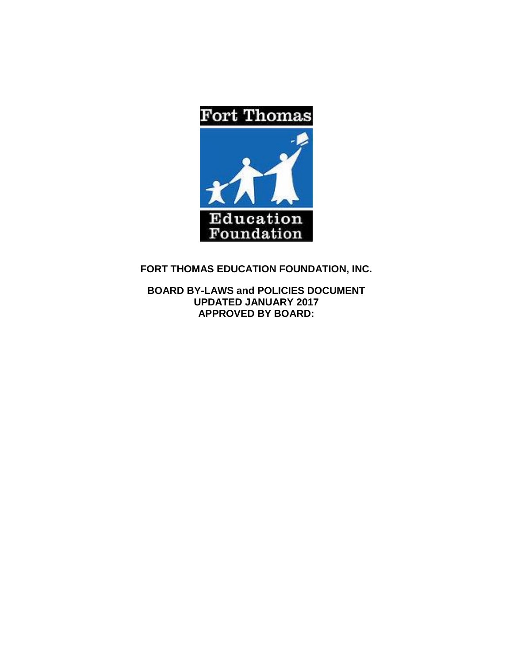

**FORT THOMAS EDUCATION FOUNDATION, INC.**

**BOARD BY-LAWS and POLICIES DOCUMENT UPDATED JANUARY 2017 APPROVED BY BOARD:**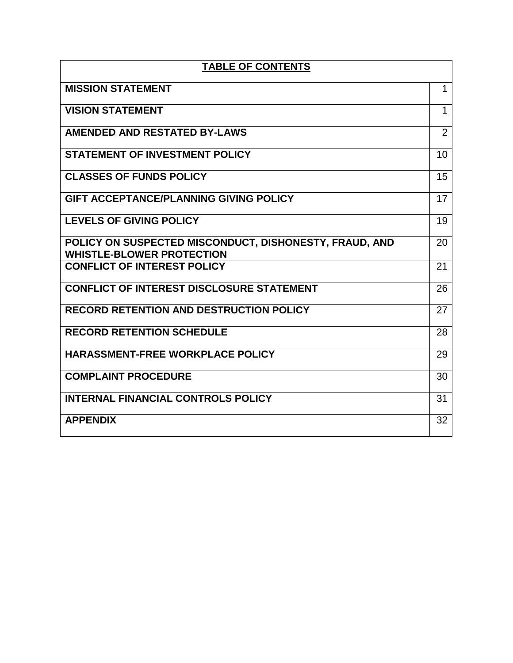| <b>TABLE OF CONTENTS</b>                                                                   |    |  |  |  |
|--------------------------------------------------------------------------------------------|----|--|--|--|
| <b>MISSION STATEMENT</b>                                                                   | 1  |  |  |  |
| <b>VISION STATEMENT</b>                                                                    | 1  |  |  |  |
| <b>AMENDED AND RESTATED BY-LAWS</b>                                                        | 2  |  |  |  |
| <b>STATEMENT OF INVESTMENT POLICY</b>                                                      | 10 |  |  |  |
| <b>CLASSES OF FUNDS POLICY</b>                                                             | 15 |  |  |  |
| <b>GIFT ACCEPTANCE/PLANNING GIVING POLICY</b>                                              | 17 |  |  |  |
| <b>LEVELS OF GIVING POLICY</b>                                                             | 19 |  |  |  |
| POLICY ON SUSPECTED MISCONDUCT, DISHONESTY, FRAUD, AND<br><b>WHISTLE-BLOWER PROTECTION</b> | 20 |  |  |  |
| <b>CONFLICT OF INTEREST POLICY</b>                                                         | 21 |  |  |  |
| <b>CONFLICT OF INTEREST DISCLOSURE STATEMENT</b>                                           | 26 |  |  |  |
| <b>RECORD RETENTION AND DESTRUCTION POLICY</b>                                             | 27 |  |  |  |
| <b>RECORD RETENTION SCHEDULE</b>                                                           | 28 |  |  |  |
| <b>HARASSMENT-FREE WORKPLACE POLICY</b>                                                    | 29 |  |  |  |
| <b>COMPLAINT PROCEDURE</b>                                                                 | 30 |  |  |  |
| <b>INTERNAL FINANCIAL CONTROLS POLICY</b>                                                  | 31 |  |  |  |
| <b>APPENDIX</b>                                                                            | 32 |  |  |  |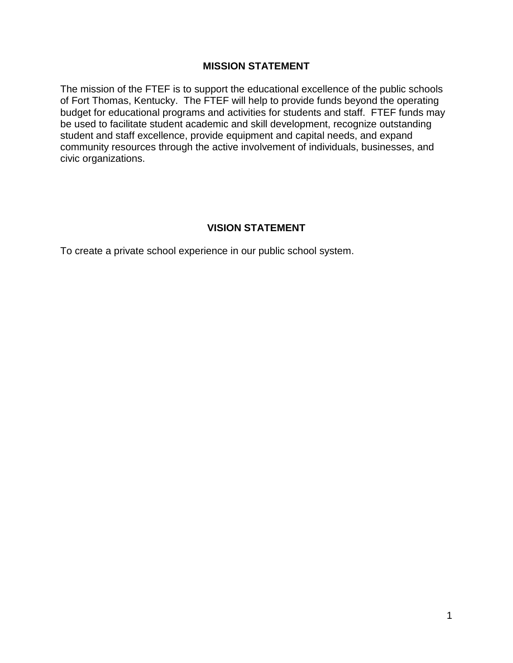### **MISSION STATEMENT**

The mission of the FTEF is to support the educational excellence of the public schools of Fort Thomas, Kentucky. The FTEF will help to provide funds beyond the operating budget for educational programs and activities for students and staff. FTEF funds may be used to facilitate student academic and skill development, recognize outstanding student and staff excellence, provide equipment and capital needs, and expand community resources through the active involvement of individuals, businesses, and civic organizations.

## **VISION STATEMENT**

To create a private school experience in our public school system.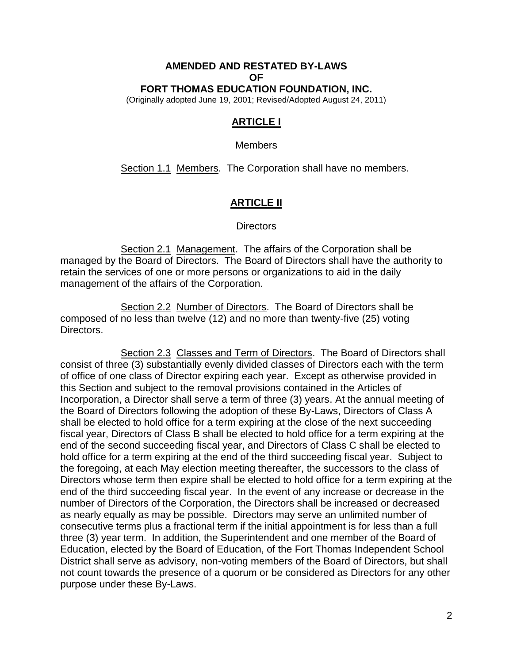#### **AMENDED AND RESTATED BY-LAWS OF FORT THOMAS EDUCATION FOUNDATION, INC.**

(Originally adopted June 19, 2001; Revised/Adopted August 24, 2011)

## **ARTICLE I**

#### Members

Section 1.1 Members. The Corporation shall have no members.

## **ARTICLE II**

#### **Directors**

Section 2.1 Management. The affairs of the Corporation shall be managed by the Board of Directors. The Board of Directors shall have the authority to retain the services of one or more persons or organizations to aid in the daily management of the affairs of the Corporation.

Section 2.2 Number of Directors. The Board of Directors shall be composed of no less than twelve (12) and no more than twenty-five (25) voting Directors.

Section 2.3 Classes and Term of Directors. The Board of Directors shall consist of three (3) substantially evenly divided classes of Directors each with the term of office of one class of Director expiring each year. Except as otherwise provided in this Section and subject to the removal provisions contained in the Articles of Incorporation, a Director shall serve a term of three (3) years. At the annual meeting of the Board of Directors following the adoption of these By-Laws, Directors of Class A shall be elected to hold office for a term expiring at the close of the next succeeding fiscal year, Directors of Class B shall be elected to hold office for a term expiring at the end of the second succeeding fiscal year, and Directors of Class C shall be elected to hold office for a term expiring at the end of the third succeeding fiscal year. Subject to the foregoing, at each May election meeting thereafter, the successors to the class of Directors whose term then expire shall be elected to hold office for a term expiring at the end of the third succeeding fiscal year. In the event of any increase or decrease in the number of Directors of the Corporation, the Directors shall be increased or decreased as nearly equally as may be possible. Directors may serve an unlimited number of consecutive terms plus a fractional term if the initial appointment is for less than a full three (3) year term. In addition, the Superintendent and one member of the Board of Education, elected by the Board of Education, of the Fort Thomas Independent School District shall serve as advisory, non-voting members of the Board of Directors, but shall not count towards the presence of a quorum or be considered as Directors for any other purpose under these By-Laws.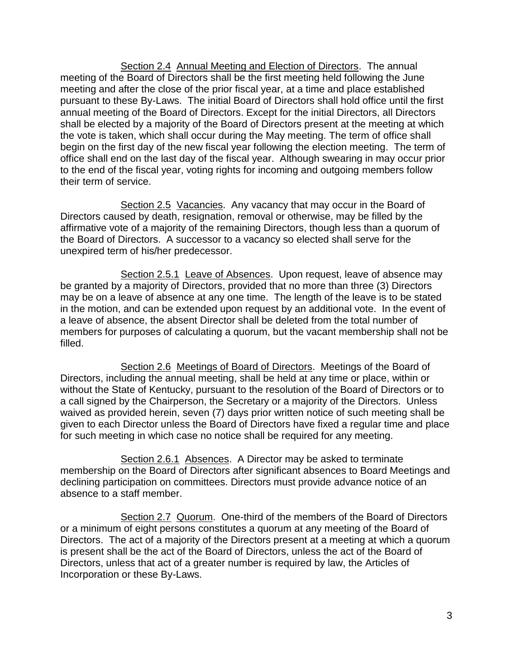Section 2.4 Annual Meeting and Election of Directors. The annual meeting of the Board of Directors shall be the first meeting held following the June meeting and after the close of the prior fiscal year, at a time and place established pursuant to these By-Laws. The initial Board of Directors shall hold office until the first annual meeting of the Board of Directors. Except for the initial Directors, all Directors shall be elected by a majority of the Board of Directors present at the meeting at which the vote is taken, which shall occur during the May meeting. The term of office shall begin on the first day of the new fiscal year following the election meeting. The term of office shall end on the last day of the fiscal year. Although swearing in may occur prior to the end of the fiscal year, voting rights for incoming and outgoing members follow their term of service.

Section 2.5 Vacancies. Any vacancy that may occur in the Board of Directors caused by death, resignation, removal or otherwise, may be filled by the affirmative vote of a majority of the remaining Directors, though less than a quorum of the Board of Directors. A successor to a vacancy so elected shall serve for the unexpired term of his/her predecessor.

Section 2.5.1 Leave of Absences. Upon request, leave of absence may be granted by a majority of Directors, provided that no more than three (3) Directors may be on a leave of absence at any one time. The length of the leave is to be stated in the motion, and can be extended upon request by an additional vote. In the event of a leave of absence, the absent Director shall be deleted from the total number of members for purposes of calculating a quorum, but the vacant membership shall not be filled.

Section 2.6 Meetings of Board of Directors. Meetings of the Board of Directors, including the annual meeting, shall be held at any time or place, within or without the State of Kentucky, pursuant to the resolution of the Board of Directors or to a call signed by the Chairperson, the Secretary or a majority of the Directors. Unless waived as provided herein, seven (7) days prior written notice of such meeting shall be given to each Director unless the Board of Directors have fixed a regular time and place for such meeting in which case no notice shall be required for any meeting.

Section 2.6.1 Absences. A Director may be asked to terminate membership on the Board of Directors after significant absences to Board Meetings and declining participation on committees. Directors must provide advance notice of an absence to a staff member.

Section 2.7 Quorum. One-third of the members of the Board of Directors or a minimum of eight persons constitutes a quorum at any meeting of the Board of Directors. The act of a majority of the Directors present at a meeting at which a quorum is present shall be the act of the Board of Directors, unless the act of the Board of Directors, unless that act of a greater number is required by law, the Articles of Incorporation or these By-Laws.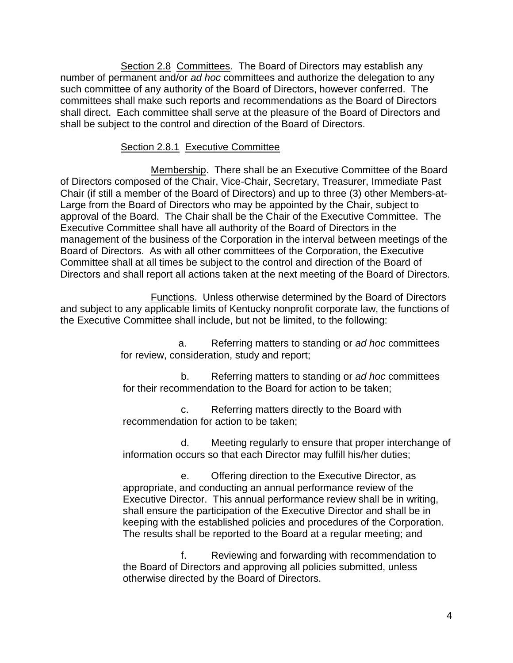Section 2.8 Committees. The Board of Directors may establish any number of permanent and/or *ad hoc* committees and authorize the delegation to any such committee of any authority of the Board of Directors, however conferred. The committees shall make such reports and recommendations as the Board of Directors shall direct. Each committee shall serve at the pleasure of the Board of Directors and shall be subject to the control and direction of the Board of Directors.

## Section 2.8.1 Executive Committee

Membership. There shall be an Executive Committee of the Board of Directors composed of the Chair, Vice-Chair, Secretary, Treasurer, Immediate Past Chair (if still a member of the Board of Directors) and up to three (3) other Members-at-Large from the Board of Directors who may be appointed by the Chair, subject to approval of the Board. The Chair shall be the Chair of the Executive Committee. The Executive Committee shall have all authority of the Board of Directors in the management of the business of the Corporation in the interval between meetings of the Board of Directors. As with all other committees of the Corporation, the Executive Committee shall at all times be subject to the control and direction of the Board of Directors and shall report all actions taken at the next meeting of the Board of Directors.

Functions. Unless otherwise determined by the Board of Directors and subject to any applicable limits of Kentucky nonprofit corporate law, the functions of the Executive Committee shall include, but not be limited, to the following:

> a. Referring matters to standing or *ad hoc* committees for review, consideration, study and report;

> b. Referring matters to standing or *ad hoc* committees for their recommendation to the Board for action to be taken;

c. Referring matters directly to the Board with recommendation for action to be taken;

d. Meeting regularly to ensure that proper interchange of information occurs so that each Director may fulfill his/her duties;

e. Offering direction to the Executive Director, as appropriate, and conducting an annual performance review of the Executive Director. This annual performance review shall be in writing, shall ensure the participation of the Executive Director and shall be in keeping with the established policies and procedures of the Corporation. The results shall be reported to the Board at a regular meeting; and

f. Reviewing and forwarding with recommendation to the Board of Directors and approving all policies submitted, unless otherwise directed by the Board of Directors.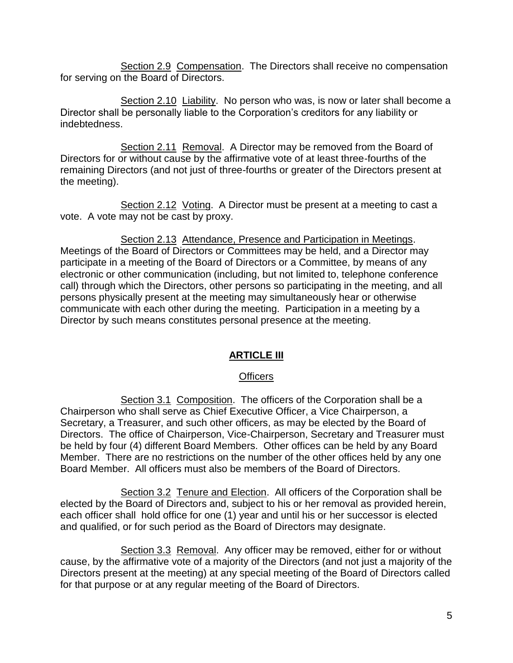Section 2.9 Compensation. The Directors shall receive no compensation for serving on the Board of Directors.

Section 2.10 Liability. No person who was, is now or later shall become a Director shall be personally liable to the Corporation's creditors for any liability or indebtedness.

Section 2.11 Removal. A Director may be removed from the Board of Directors for or without cause by the affirmative vote of at least three-fourths of the remaining Directors (and not just of three-fourths or greater of the Directors present at the meeting).

Section 2.12 Voting. A Director must be present at a meeting to cast a vote. A vote may not be cast by proxy.

Section 2.13 Attendance, Presence and Participation in Meetings. Meetings of the Board of Directors or Committees may be held, and a Director may participate in a meeting of the Board of Directors or a Committee, by means of any electronic or other communication (including, but not limited to, telephone conference call) through which the Directors, other persons so participating in the meeting, and all persons physically present at the meeting may simultaneously hear or otherwise communicate with each other during the meeting. Participation in a meeting by a Director by such means constitutes personal presence at the meeting.

# **ARTICLE III**

## **Officers**

Section 3.1 Composition. The officers of the Corporation shall be a Chairperson who shall serve as Chief Executive Officer, a Vice Chairperson, a Secretary, a Treasurer, and such other officers, as may be elected by the Board of Directors. The office of Chairperson, Vice-Chairperson, Secretary and Treasurer must be held by four (4) different Board Members. Other offices can be held by any Board Member. There are no restrictions on the number of the other offices held by any one Board Member. All officers must also be members of the Board of Directors.

Section 3.2 Tenure and Election. All officers of the Corporation shall be elected by the Board of Directors and, subject to his or her removal as provided herein, each officer shall hold office for one (1) year and until his or her successor is elected and qualified, or for such period as the Board of Directors may designate.

Section 3.3 Removal. Any officer may be removed, either for or without cause, by the affirmative vote of a majority of the Directors (and not just a majority of the Directors present at the meeting) at any special meeting of the Board of Directors called for that purpose or at any regular meeting of the Board of Directors.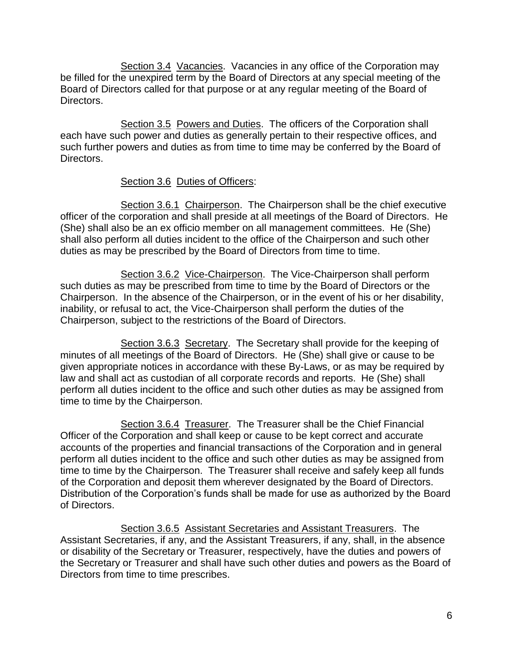Section 3.4 Vacancies. Vacancies in any office of the Corporation may be filled for the unexpired term by the Board of Directors at any special meeting of the Board of Directors called for that purpose or at any regular meeting of the Board of Directors.

Section 3.5 Powers and Duties. The officers of the Corporation shall each have such power and duties as generally pertain to their respective offices, and such further powers and duties as from time to time may be conferred by the Board of Directors.

## Section 3.6 Duties of Officers:

Section 3.6.1 Chairperson. The Chairperson shall be the chief executive officer of the corporation and shall preside at all meetings of the Board of Directors. He (She) shall also be an ex officio member on all management committees. He (She) shall also perform all duties incident to the office of the Chairperson and such other duties as may be prescribed by the Board of Directors from time to time.

Section 3.6.2 Vice-Chairperson. The Vice-Chairperson shall perform such duties as may be prescribed from time to time by the Board of Directors or the Chairperson. In the absence of the Chairperson, or in the event of his or her disability, inability, or refusal to act, the Vice-Chairperson shall perform the duties of the Chairperson, subject to the restrictions of the Board of Directors.

Section 3.6.3 Secretary. The Secretary shall provide for the keeping of minutes of all meetings of the Board of Directors. He (She) shall give or cause to be given appropriate notices in accordance with these By-Laws, or as may be required by law and shall act as custodian of all corporate records and reports. He (She) shall perform all duties incident to the office and such other duties as may be assigned from time to time by the Chairperson.

Section 3.6.4 Treasurer. The Treasurer shall be the Chief Financial Officer of the Corporation and shall keep or cause to be kept correct and accurate accounts of the properties and financial transactions of the Corporation and in general perform all duties incident to the office and such other duties as may be assigned from time to time by the Chairperson. The Treasurer shall receive and safely keep all funds of the Corporation and deposit them wherever designated by the Board of Directors. Distribution of the Corporation's funds shall be made for use as authorized by the Board of Directors.

Section 3.6.5 Assistant Secretaries and Assistant Treasurers. The Assistant Secretaries, if any, and the Assistant Treasurers, if any, shall, in the absence or disability of the Secretary or Treasurer, respectively, have the duties and powers of the Secretary or Treasurer and shall have such other duties and powers as the Board of Directors from time to time prescribes.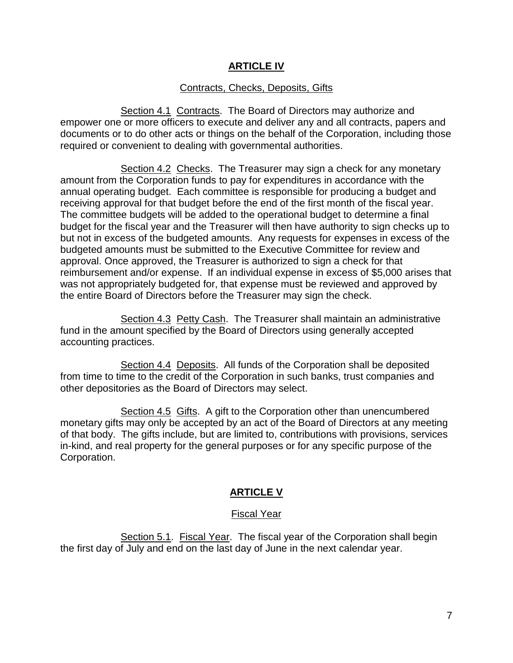## **ARTICLE IV**

#### Contracts, Checks, Deposits, Gifts

Section 4.1 Contracts. The Board of Directors may authorize and empower one or more officers to execute and deliver any and all contracts, papers and documents or to do other acts or things on the behalf of the Corporation, including those required or convenient to dealing with governmental authorities.

Section 4.2 Checks. The Treasurer may sign a check for any monetary amount from the Corporation funds to pay for expenditures in accordance with the annual operating budget. Each committee is responsible for producing a budget and receiving approval for that budget before the end of the first month of the fiscal year. The committee budgets will be added to the operational budget to determine a final budget for the fiscal year and the Treasurer will then have authority to sign checks up to but not in excess of the budgeted amounts. Any requests for expenses in excess of the budgeted amounts must be submitted to the Executive Committee for review and approval. Once approved, the Treasurer is authorized to sign a check for that reimbursement and/or expense. If an individual expense in excess of \$5,000 arises that was not appropriately budgeted for, that expense must be reviewed and approved by the entire Board of Directors before the Treasurer may sign the check.

Section 4.3 Petty Cash. The Treasurer shall maintain an administrative fund in the amount specified by the Board of Directors using generally accepted accounting practices.

Section 4.4 Deposits. All funds of the Corporation shall be deposited from time to time to the credit of the Corporation in such banks, trust companies and other depositories as the Board of Directors may select.

Section 4.5 Gifts. A gift to the Corporation other than unencumbered monetary gifts may only be accepted by an act of the Board of Directors at any meeting of that body. The gifts include, but are limited to, contributions with provisions, services in-kind, and real property for the general purposes or for any specific purpose of the Corporation.

### **ARTICLE V**

#### Fiscal Year

Section 5.1. Fiscal Year. The fiscal year of the Corporation shall begin the first day of July and end on the last day of June in the next calendar year.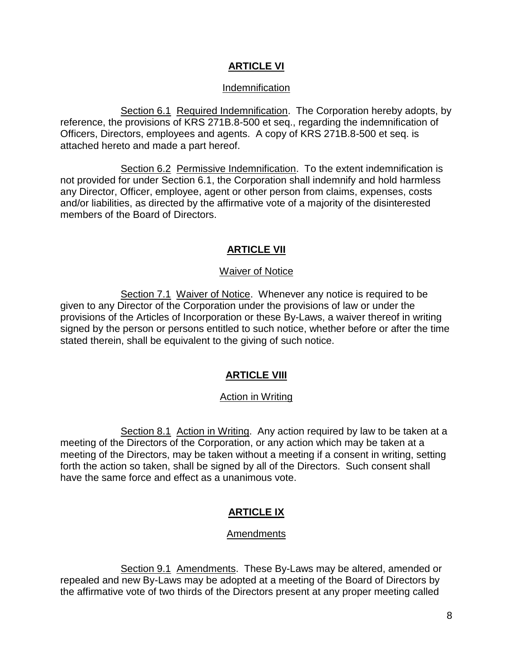## **ARTICLE VI**

### Indemnification

Section 6.1 Required Indemnification. The Corporation hereby adopts, by reference, the provisions of KRS 271B.8-500 et seq., regarding the indemnification of Officers, Directors, employees and agents. A copy of KRS 271B.8-500 et seq. is attached hereto and made a part hereof.

Section 6.2 Permissive Indemnification. To the extent indemnification is not provided for under Section 6.1, the Corporation shall indemnify and hold harmless any Director, Officer, employee, agent or other person from claims, expenses, costs and/or liabilities, as directed by the affirmative vote of a majority of the disinterested members of the Board of Directors.

## **ARTICLE VII**

### Waiver of Notice

Section 7.1 Waiver of Notice. Whenever any notice is required to be given to any Director of the Corporation under the provisions of law or under the provisions of the Articles of Incorporation or these By-Laws, a waiver thereof in writing signed by the person or persons entitled to such notice, whether before or after the time stated therein, shall be equivalent to the giving of such notice.

## **ARTICLE VIII**

### Action in Writing

Section 8.1 Action in Writing. Any action required by law to be taken at a meeting of the Directors of the Corporation, or any action which may be taken at a meeting of the Directors, may be taken without a meeting if a consent in writing, setting forth the action so taken, shall be signed by all of the Directors. Such consent shall have the same force and effect as a unanimous vote.

## **ARTICLE IX**

#### **Amendments**

Section 9.1 Amendments. These By-Laws may be altered, amended or repealed and new By-Laws may be adopted at a meeting of the Board of Directors by the affirmative vote of two thirds of the Directors present at any proper meeting called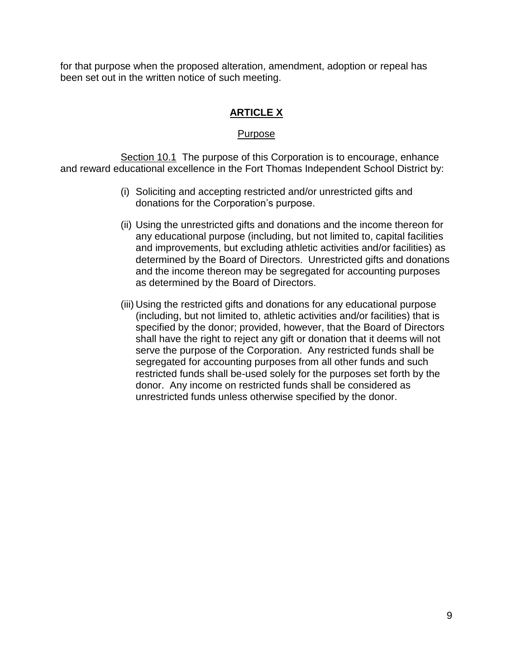for that purpose when the proposed alteration, amendment, adoption or repeal has been set out in the written notice of such meeting.

# **ARTICLE X**

#### Purpose

Section 10.1 The purpose of this Corporation is to encourage, enhance and reward educational excellence in the Fort Thomas Independent School District by:

- (i) Soliciting and accepting restricted and/or unrestricted gifts and donations for the Corporation's purpose.
- (ii) Using the unrestricted gifts and donations and the income thereon for any educational purpose (including, but not limited to, capital facilities and improvements, but excluding athletic activities and/or facilities) as determined by the Board of Directors. Unrestricted gifts and donations and the income thereon may be segregated for accounting purposes as determined by the Board of Directors.
- (iii) Using the restricted gifts and donations for any educational purpose (including, but not limited to, athletic activities and/or facilities) that is specified by the donor; provided, however, that the Board of Directors shall have the right to reject any gift or donation that it deems will not serve the purpose of the Corporation. Any restricted funds shall be segregated for accounting purposes from all other funds and such restricted funds shall be-used solely for the purposes set forth by the donor. Any income on restricted funds shall be considered as unrestricted funds unless otherwise specified by the donor.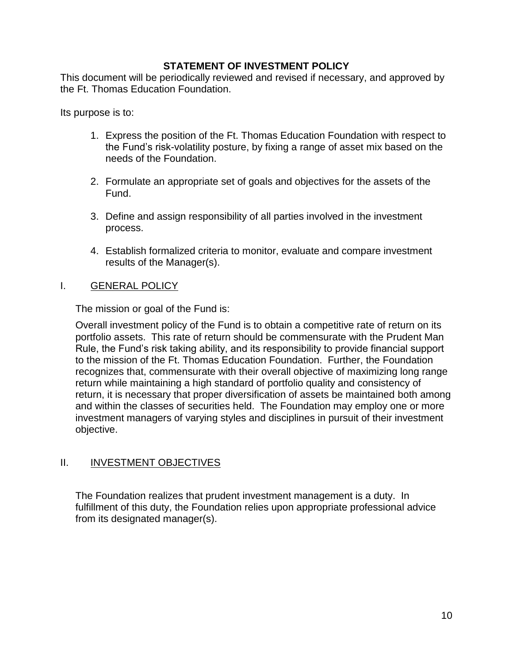### **STATEMENT OF INVESTMENT POLICY**

This document will be periodically reviewed and revised if necessary, and approved by the Ft. Thomas Education Foundation.

Its purpose is to:

- 1. Express the position of the Ft. Thomas Education Foundation with respect to the Fund's risk-volatility posture, by fixing a range of asset mix based on the needs of the Foundation.
- 2. Formulate an appropriate set of goals and objectives for the assets of the Fund.
- 3. Define and assign responsibility of all parties involved in the investment process.
- 4. Establish formalized criteria to monitor, evaluate and compare investment results of the Manager(s).

## I. GENERAL POLICY

The mission or goal of the Fund is:

Overall investment policy of the Fund is to obtain a competitive rate of return on its portfolio assets. This rate of return should be commensurate with the Prudent Man Rule, the Fund's risk taking ability, and its responsibility to provide financial support to the mission of the Ft. Thomas Education Foundation. Further, the Foundation recognizes that, commensurate with their overall objective of maximizing long range return while maintaining a high standard of portfolio quality and consistency of return, it is necessary that proper diversification of assets be maintained both among and within the classes of securities held. The Foundation may employ one or more investment managers of varying styles and disciplines in pursuit of their investment objective.

# II. **INVESTMENT OBJECTIVES**

The Foundation realizes that prudent investment management is a duty. In fulfillment of this duty, the Foundation relies upon appropriate professional advice from its designated manager(s).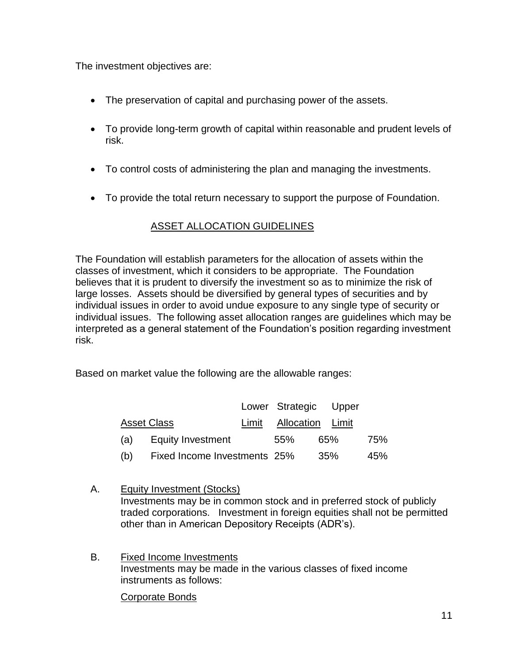The investment objectives are:

- The preservation of capital and purchasing power of the assets.
- To provide long-term growth of capital within reasonable and prudent levels of risk.
- To control costs of administering the plan and managing the investments.
- To provide the total return necessary to support the purpose of Foundation.

# ASSET ALLOCATION GUIDELINES

The Foundation will establish parameters for the allocation of assets within the classes of investment, which it considers to be appropriate. The Foundation believes that it is prudent to diversify the investment so as to minimize the risk of large losses. Assets should be diversified by general types of securities and by individual issues in order to avoid undue exposure to any single type of security or individual issues. The following asset allocation ranges are guidelines which may be interpreted as a general statement of the Foundation's position regarding investment risk.

Based on market value the following are the allowable ranges:

|                    |                              | Lower Strategic Upper  |     |     |
|--------------------|------------------------------|------------------------|-----|-----|
| <b>Asset Class</b> |                              | Limit Allocation Limit |     |     |
| (a)                | Equity Investment            | .55%                   | 65% | 75% |
| (b)                | Fixed Income Investments 25% |                        | 35% | 45% |

- A. Equity Investment (Stocks) Investments may be in common stock and in preferred stock of publicly traded corporations. Investment in foreign equities shall not be permitted other than in American Depository Receipts (ADR's).
- B. Fixed Income Investments Investments may be made in the various classes of fixed income instruments as follows:

Corporate Bonds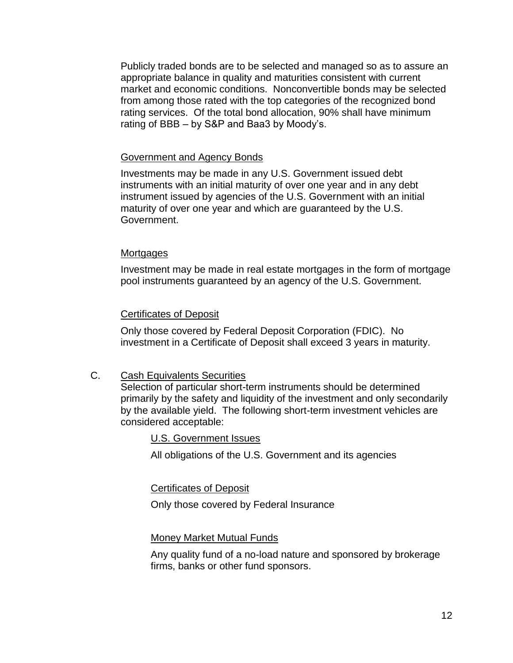Publicly traded bonds are to be selected and managed so as to assure an appropriate balance in quality and maturities consistent with current market and economic conditions. Nonconvertible bonds may be selected from among those rated with the top categories of the recognized bond rating services. Of the total bond allocation, 90% shall have minimum rating of BBB – by S&P and Baa3 by Moody's.

#### Government and Agency Bonds

Investments may be made in any U.S. Government issued debt instruments with an initial maturity of over one year and in any debt instrument issued by agencies of the U.S. Government with an initial maturity of over one year and which are guaranteed by the U.S. Government.

#### **Mortgages**

Investment may be made in real estate mortgages in the form of mortgage pool instruments guaranteed by an agency of the U.S. Government.

#### Certificates of Deposit

Only those covered by Federal Deposit Corporation (FDIC). No investment in a Certificate of Deposit shall exceed 3 years in maturity.

#### C. Cash Equivalents Securities

Selection of particular short-term instruments should be determined primarily by the safety and liquidity of the investment and only secondarily by the available yield. The following short-term investment vehicles are considered acceptable:

#### U.S. Government Issues

All obligations of the U.S. Government and its agencies

#### Certificates of Deposit

Only those covered by Federal Insurance

#### Money Market Mutual Funds

Any quality fund of a no-load nature and sponsored by brokerage firms, banks or other fund sponsors.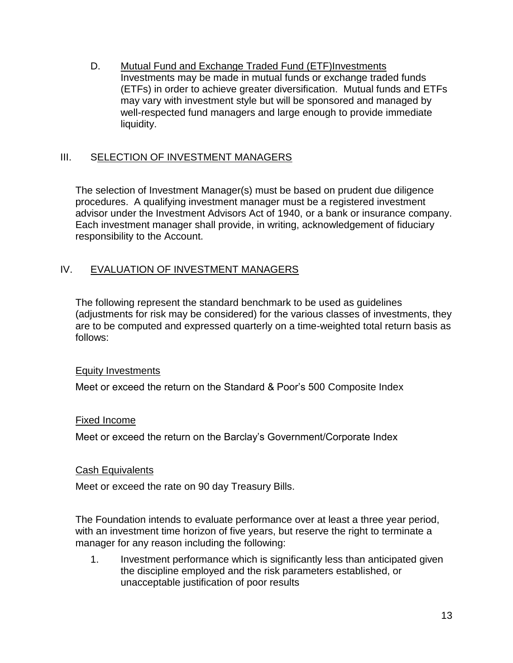D. Mutual Fund and Exchange Traded Fund (ETF)Investments Investments may be made in mutual funds or exchange traded funds (ETFs) in order to achieve greater diversification. Mutual funds and ETFs may vary with investment style but will be sponsored and managed by well-respected fund managers and large enough to provide immediate liquidity.

## III. SELECTION OF INVESTMENT MANAGERS

The selection of Investment Manager(s) must be based on prudent due diligence procedures. A qualifying investment manager must be a registered investment advisor under the Investment Advisors Act of 1940, or a bank or insurance company. Each investment manager shall provide, in writing, acknowledgement of fiduciary responsibility to the Account.

## IV. EVALUATION OF INVESTMENT MANAGERS

The following represent the standard benchmark to be used as guidelines (adjustments for risk may be considered) for the various classes of investments, they are to be computed and expressed quarterly on a time-weighted total return basis as follows:

### Equity Investments

Meet or exceed the return on the Standard & Poor's 500 Composite Index

### Fixed Income

Meet or exceed the return on the Barclay's Government/Corporate Index

### Cash Equivalents

Meet or exceed the rate on 90 day Treasury Bills.

The Foundation intends to evaluate performance over at least a three year period, with an investment time horizon of five years, but reserve the right to terminate a manager for any reason including the following:

1. Investment performance which is significantly less than anticipated given the discipline employed and the risk parameters established, or unacceptable justification of poor results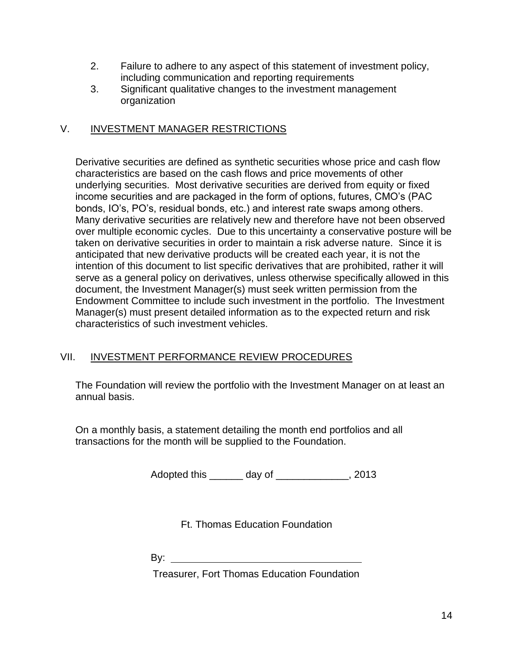- 2. Failure to adhere to any aspect of this statement of investment policy, including communication and reporting requirements
- 3. Significant qualitative changes to the investment management organization

# V. INVESTMENT MANAGER RESTRICTIONS

Derivative securities are defined as synthetic securities whose price and cash flow characteristics are based on the cash flows and price movements of other underlying securities. Most derivative securities are derived from equity or fixed income securities and are packaged in the form of options, futures, CMO's (PAC bonds, IO's, PO's, residual bonds, etc.) and interest rate swaps among others. Many derivative securities are relatively new and therefore have not been observed over multiple economic cycles. Due to this uncertainty a conservative posture will be taken on derivative securities in order to maintain a risk adverse nature. Since it is anticipated that new derivative products will be created each year, it is not the intention of this document to list specific derivatives that are prohibited, rather it will serve as a general policy on derivatives, unless otherwise specifically allowed in this document, the Investment Manager(s) must seek written permission from the Endowment Committee to include such investment in the portfolio. The Investment Manager(s) must present detailed information as to the expected return and risk characteristics of such investment vehicles.

## VII. INVESTMENT PERFORMANCE REVIEW PROCEDURES

The Foundation will review the portfolio with the Investment Manager on at least an annual basis.

On a monthly basis, a statement detailing the month end portfolios and all transactions for the month will be supplied to the Foundation.

Adopted this \_\_\_\_\_\_ day of \_\_\_\_\_\_\_\_\_\_\_\_\_, 2013

Ft. Thomas Education Foundation

By: the contract of the contract of the contract of the contract of the contract of the contract of the contract of the contract of the contract of the contract of the contract of the contract of the contract of the contra

Treasurer, Fort Thomas Education Foundation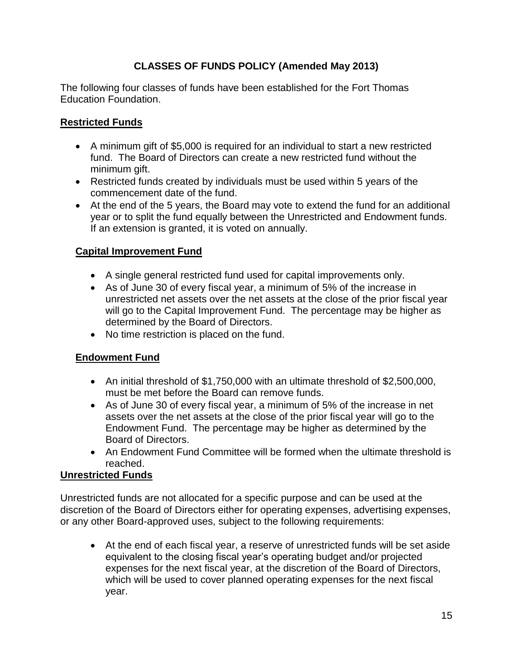# **CLASSES OF FUNDS POLICY (Amended May 2013)**

The following four classes of funds have been established for the Fort Thomas Education Foundation.

# **Restricted Funds**

- A minimum gift of \$5,000 is required for an individual to start a new restricted fund. The Board of Directors can create a new restricted fund without the minimum gift.
- Restricted funds created by individuals must be used within 5 years of the commencement date of the fund.
- At the end of the 5 years, the Board may vote to extend the fund for an additional year or to split the fund equally between the Unrestricted and Endowment funds. If an extension is granted, it is voted on annually.

# **Capital Improvement Fund**

- A single general restricted fund used for capital improvements only.
- As of June 30 of every fiscal year, a minimum of 5% of the increase in unrestricted net assets over the net assets at the close of the prior fiscal year will go to the Capital Improvement Fund. The percentage may be higher as determined by the Board of Directors.
- No time restriction is placed on the fund.

## **Endowment Fund**

- An initial threshold of \$1,750,000 with an ultimate threshold of \$2,500,000, must be met before the Board can remove funds.
- As of June 30 of every fiscal year, a minimum of 5% of the increase in net assets over the net assets at the close of the prior fiscal year will go to the Endowment Fund. The percentage may be higher as determined by the Board of Directors.
- An Endowment Fund Committee will be formed when the ultimate threshold is reached.

## **Unrestricted Funds**

Unrestricted funds are not allocated for a specific purpose and can be used at the discretion of the Board of Directors either for operating expenses, advertising expenses, or any other Board-approved uses, subject to the following requirements:

 At the end of each fiscal year, a reserve of unrestricted funds will be set aside equivalent to the closing fiscal year's operating budget and/or projected expenses for the next fiscal year, at the discretion of the Board of Directors, which will be used to cover planned operating expenses for the next fiscal year.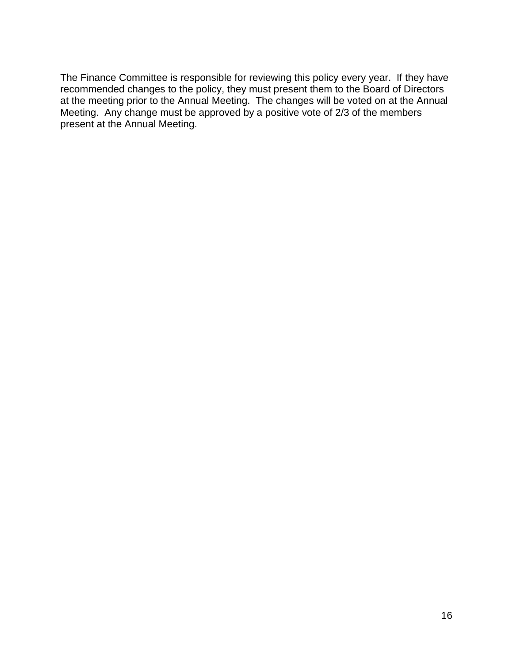The Finance Committee is responsible for reviewing this policy every year. If they have recommended changes to the policy, they must present them to the Board of Directors at the meeting prior to the Annual Meeting. The changes will be voted on at the Annual Meeting. Any change must be approved by a positive vote of 2/3 of the members present at the Annual Meeting.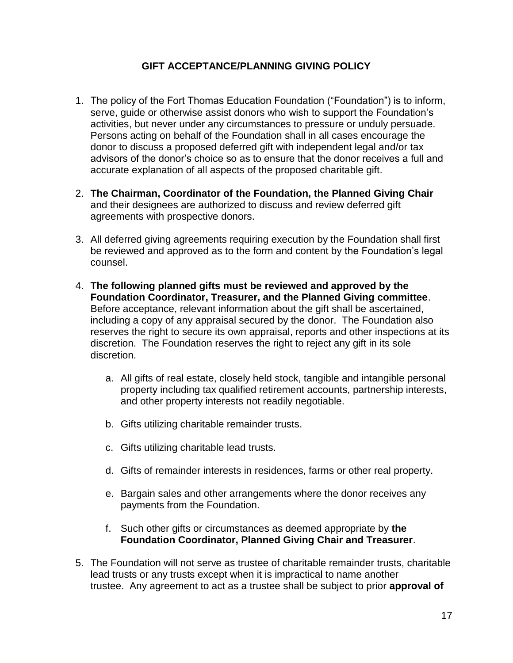## **GIFT ACCEPTANCE/PLANNING GIVING POLICY**

- 1. The policy of the Fort Thomas Education Foundation ("Foundation") is to inform, serve, guide or otherwise assist donors who wish to support the Foundation's activities, but never under any circumstances to pressure or unduly persuade. Persons acting on behalf of the Foundation shall in all cases encourage the donor to discuss a proposed deferred gift with independent legal and/or tax advisors of the donor's choice so as to ensure that the donor receives a full and accurate explanation of all aspects of the proposed charitable gift.
- 2. **The Chairman, Coordinator of the Foundation, the Planned Giving Chair** and their designees are authorized to discuss and review deferred gift agreements with prospective donors.
- 3. All deferred giving agreements requiring execution by the Foundation shall first be reviewed and approved as to the form and content by the Foundation's legal counsel.
- 4. **The following planned gifts must be reviewed and approved by the Foundation Coordinator, Treasurer, and the Planned Giving committee**. Before acceptance, relevant information about the gift shall be ascertained, including a copy of any appraisal secured by the donor. The Foundation also reserves the right to secure its own appraisal, reports and other inspections at its discretion. The Foundation reserves the right to reject any gift in its sole discretion.
	- a. All gifts of real estate, closely held stock, tangible and intangible personal property including tax qualified retirement accounts, partnership interests, and other property interests not readily negotiable.
	- b. Gifts utilizing charitable remainder trusts.
	- c. Gifts utilizing charitable lead trusts.
	- d. Gifts of remainder interests in residences, farms or other real property.
	- e. Bargain sales and other arrangements where the donor receives any payments from the Foundation.
	- f. Such other gifts or circumstances as deemed appropriate by **the Foundation Coordinator, Planned Giving Chair and Treasurer**.
- 5. The Foundation will not serve as trustee of charitable remainder trusts, charitable lead trusts or any trusts except when it is impractical to name another trustee. Any agreement to act as a trustee shall be subject to prior **approval of**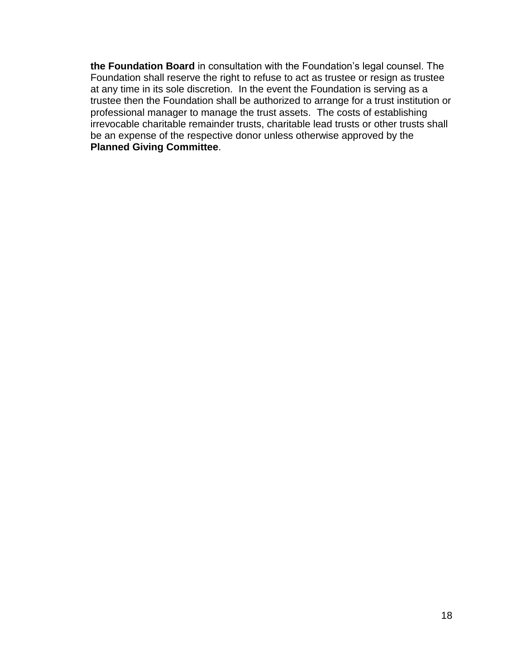**the Foundation Board** in consultation with the Foundation's legal counsel. The Foundation shall reserve the right to refuse to act as trustee or resign as trustee at any time in its sole discretion. In the event the Foundation is serving as a trustee then the Foundation shall be authorized to arrange for a trust institution or professional manager to manage the trust assets. The costs of establishing irrevocable charitable remainder trusts, charitable lead trusts or other trusts shall be an expense of the respective donor unless otherwise approved by the **Planned Giving Committee**.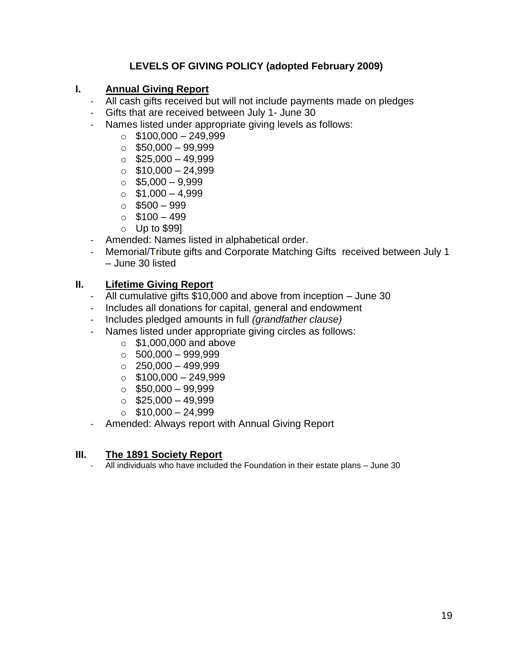# **LEVELS OF GIVING POLICY (adopted February 2009)**

### **I. Annual Giving Report**

- All cash gifts received but will not include payments made on pledges
- Gifts that are received between July 1- June 30
- Names listed under appropriate giving levels as follows:
	- $\circ$  \$100,000 249,999
	- $\circ$  \$50,000 99,999
	- $\circ$  \$25,000 49,999
	- $\circ$  \$10,000 24,999
	- $\circ$  \$5,000 9,999
	- $\circ$  \$1,000 4,999
	- $\circ$  \$500 999
	- $\circ$  \$100 499
	- $\circ$  Up to \$99]
- Amended: Names listed in alphabetical order.
- Memorial/Tribute gifts and Corporate Matching Gifts received between July 1 – June 30 listed

## **II. Lifetime Giving Report**

- All cumulative gifts \$10,000 and above from inception June 30
- Includes all donations for capital, general and endowment
- Includes pledged amounts in full *(grandfather clause)*
- Names listed under appropriate giving circles as follows:
	- $\circ$  \$1,000,000 and above
	- $\circ$  500,000 999,999
	- $\circ$  250,000 499,999
	- $\circ$  \$100,000 249,999
	- $\circ$  \$50,000 99,999
	- $\circ$  \$25,000 49,999
	- $\circ$  \$10,000 24,999
- Amended: Always report with Annual Giving Report

### **III. The 1891 Society Report**

All individuals who have included the Foundation in their estate plans - June 30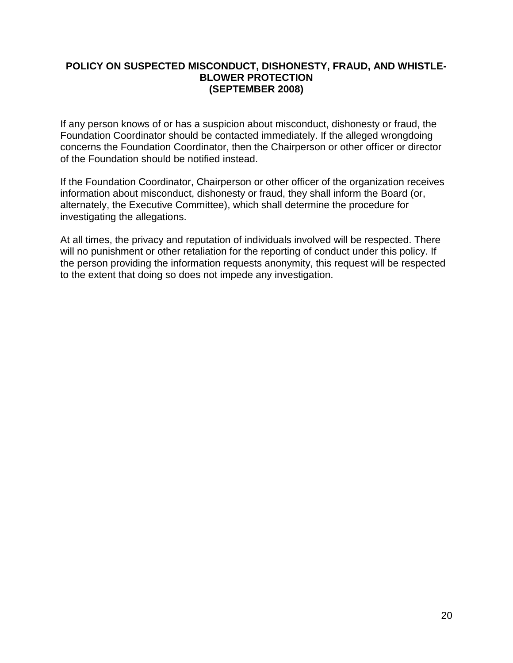### **POLICY ON SUSPECTED MISCONDUCT, DISHONESTY, FRAUD, AND WHISTLE-BLOWER PROTECTION (SEPTEMBER 2008)**

If any person knows of or has a suspicion about misconduct, dishonesty or fraud, the Foundation Coordinator should be contacted immediately. If the alleged wrongdoing concerns the Foundation Coordinator, then the Chairperson or other officer or director of the Foundation should be notified instead.

If the Foundation Coordinator, Chairperson or other officer of the organization receives information about misconduct, dishonesty or fraud, they shall inform the Board (or, alternately, the Executive Committee), which shall determine the procedure for investigating the allegations.

At all times, the privacy and reputation of individuals involved will be respected. There will no punishment or other retaliation for the reporting of conduct under this policy. If the person providing the information requests anonymity, this request will be respected to the extent that doing so does not impede any investigation.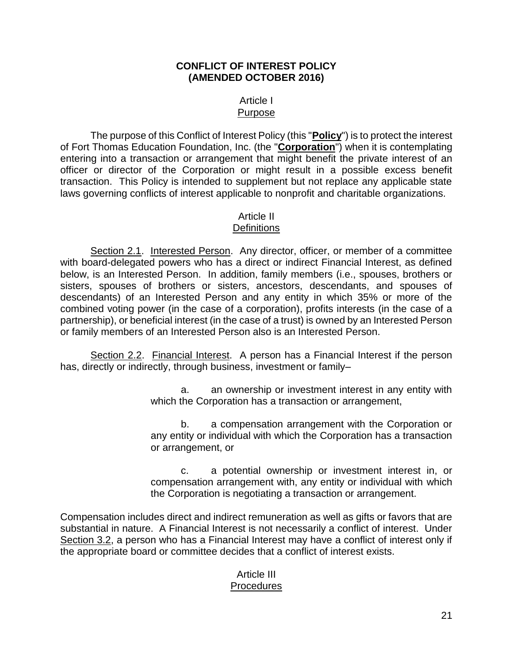#### **CONFLICT OF INTEREST POLICY (AMENDED OCTOBER 2016)**

#### Article I Purpose

The purpose of this Conflict of Interest Policy (this "**Policy**") is to protect the interest of Fort Thomas Education Foundation, Inc. (the "**Corporation**") when it is contemplating entering into a transaction or arrangement that might benefit the private interest of an officer or director of the Corporation or might result in a possible excess benefit transaction. This Policy is intended to supplement but not replace any applicable state laws governing conflicts of interest applicable to nonprofit and charitable organizations.

# Article II

# **Definitions**

Section 2.1. Interested Person. Any director, officer, or member of a committee with board-delegated powers who has a direct or indirect Financial Interest, as defined below, is an Interested Person. In addition, family members (i.e., spouses, brothers or sisters, spouses of brothers or sisters, ancestors, descendants, and spouses of descendants) of an Interested Person and any entity in which 35% or more of the combined voting power (in the case of a corporation), profits interests (in the case of a partnership), or beneficial interest (in the case of a trust) is owned by an Interested Person or family members of an Interested Person also is an Interested Person.

Section 2.2. Financial Interest. A person has a Financial Interest if the person has, directly or indirectly, through business, investment or family-

> a. an ownership or investment interest in any entity with which the Corporation has a transaction or arrangement,

> b. a compensation arrangement with the Corporation or any entity or individual with which the Corporation has a transaction or arrangement, or

> c. a potential ownership or investment interest in, or compensation arrangement with, any entity or individual with which the Corporation is negotiating a transaction or arrangement.

Compensation includes direct and indirect remuneration as well as gifts or favors that are substantial in nature. A Financial Interest is not necessarily a conflict of interest. Under Section 3.2, a person who has a Financial Interest may have a conflict of interest only if the appropriate board or committee decides that a conflict of interest exists.

## Article III Procedures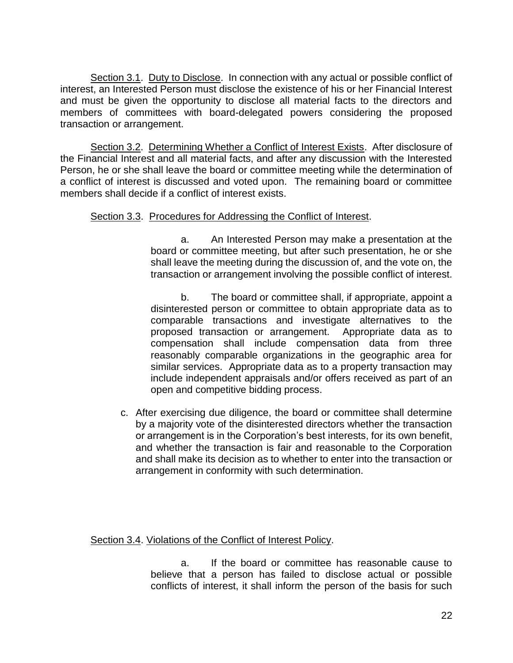Section 3.1. Duty to Disclose. In connection with any actual or possible conflict of interest, an Interested Person must disclose the existence of his or her Financial Interest and must be given the opportunity to disclose all material facts to the directors and members of committees with board-delegated powers considering the proposed transaction or arrangement.

Section 3.2. Determining Whether a Conflict of Interest Exists. After disclosure of the Financial Interest and all material facts, and after any discussion with the Interested Person, he or she shall leave the board or committee meeting while the determination of a conflict of interest is discussed and voted upon. The remaining board or committee members shall decide if a conflict of interest exists.

## Section 3.3. Procedures for Addressing the Conflict of Interest.

a. An Interested Person may make a presentation at the board or committee meeting, but after such presentation, he or she shall leave the meeting during the discussion of, and the vote on, the transaction or arrangement involving the possible conflict of interest.

b. The board or committee shall, if appropriate, appoint a disinterested person or committee to obtain appropriate data as to comparable transactions and investigate alternatives to the proposed transaction or arrangement. Appropriate data as to compensation shall include compensation data from three reasonably comparable organizations in the geographic area for similar services. Appropriate data as to a property transaction may include independent appraisals and/or offers received as part of an open and competitive bidding process.

c. After exercising due diligence, the board or committee shall determine by a majority vote of the disinterested directors whether the transaction or arrangement is in the Corporation's best interests, for its own benefit, and whether the transaction is fair and reasonable to the Corporation and shall make its decision as to whether to enter into the transaction or arrangement in conformity with such determination.

Section 3.4. Violations of the Conflict of Interest Policy.

a. If the board or committee has reasonable cause to believe that a person has failed to disclose actual or possible conflicts of interest, it shall inform the person of the basis for such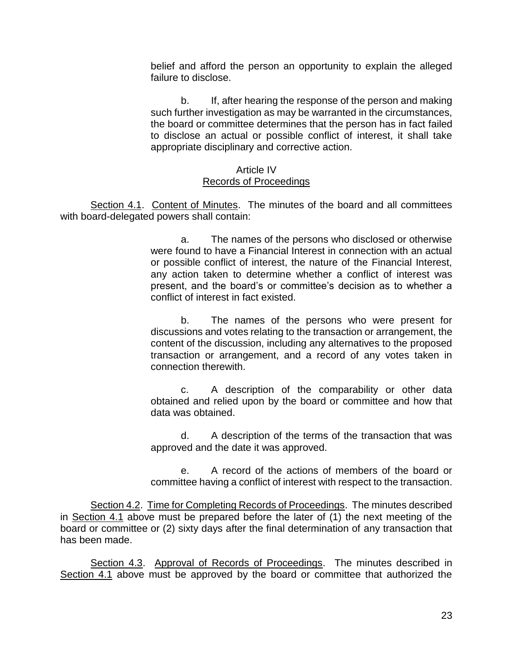belief and afford the person an opportunity to explain the alleged failure to disclose.

b. If, after hearing the response of the person and making such further investigation as may be warranted in the circumstances, the board or committee determines that the person has in fact failed to disclose an actual or possible conflict of interest, it shall take appropriate disciplinary and corrective action.

#### Article IV Records of Proceedings

Section 4.1. Content of Minutes. The minutes of the board and all committees with board-delegated powers shall contain:

> a. The names of the persons who disclosed or otherwise were found to have a Financial Interest in connection with an actual or possible conflict of interest, the nature of the Financial Interest, any action taken to determine whether a conflict of interest was present, and the board's or committee's decision as to whether a conflict of interest in fact existed.

> b. The names of the persons who were present for discussions and votes relating to the transaction or arrangement, the content of the discussion, including any alternatives to the proposed transaction or arrangement, and a record of any votes taken in connection therewith.

> c. A description of the comparability or other data obtained and relied upon by the board or committee and how that data was obtained.

> d. A description of the terms of the transaction that was approved and the date it was approved.

> e. A record of the actions of members of the board or committee having a conflict of interest with respect to the transaction.

Section 4.2. Time for Completing Records of Proceedings. The minutes described in Section 4.1 above must be prepared before the later of  $(1)$  the next meeting of the board or committee or (2) sixty days after the final determination of any transaction that has been made.

Section 4.3. Approval of Records of Proceedings. The minutes described in Section 4.1 above must be approved by the board or committee that authorized the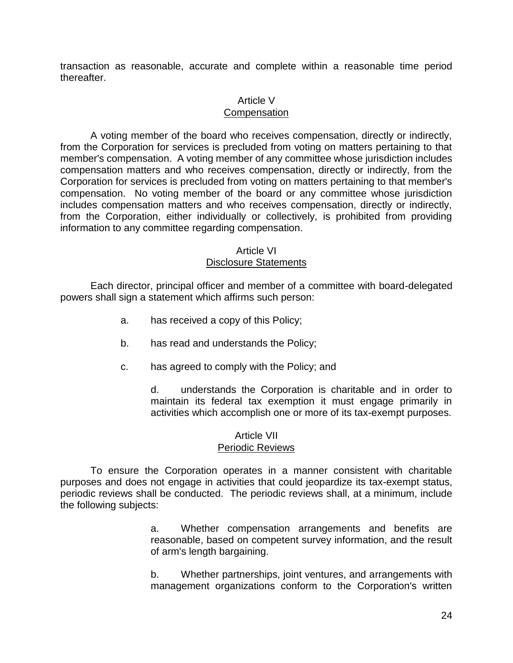transaction as reasonable, accurate and complete within a reasonable time period thereafter.

#### Article V

#### **Compensation**

A voting member of the board who receives compensation, directly or indirectly, from the Corporation for services is precluded from voting on matters pertaining to that member's compensation. A voting member of any committee whose jurisdiction includes compensation matters and who receives compensation, directly or indirectly, from the Corporation for services is precluded from voting on matters pertaining to that member's compensation. No voting member of the board or any committee whose jurisdiction includes compensation matters and who receives compensation, directly or indirectly, from the Corporation, either individually or collectively, is prohibited from providing information to any committee regarding compensation.

#### Article VI Disclosure Statements

Each director, principal officer and member of a committee with board-delegated powers shall sign a statement which affirms such person:

- a. has received a copy of this Policy;
- b. has read and understands the Policy;
- c. has agreed to comply with the Policy; and

d. understands the Corporation is charitable and in order to maintain its federal tax exemption it must engage primarily in activities which accomplish one or more of its tax-exempt purposes.

#### Article VII Periodic Reviews

To ensure the Corporation operates in a manner consistent with charitable purposes and does not engage in activities that could jeopardize its tax-exempt status, periodic reviews shall be conducted. The periodic reviews shall, at a minimum, include the following subjects:

> a. Whether compensation arrangements and benefits are reasonable, based on competent survey information, and the result of arm's length bargaining.

> b. Whether partnerships, joint ventures, and arrangements with management organizations conform to the Corporation's written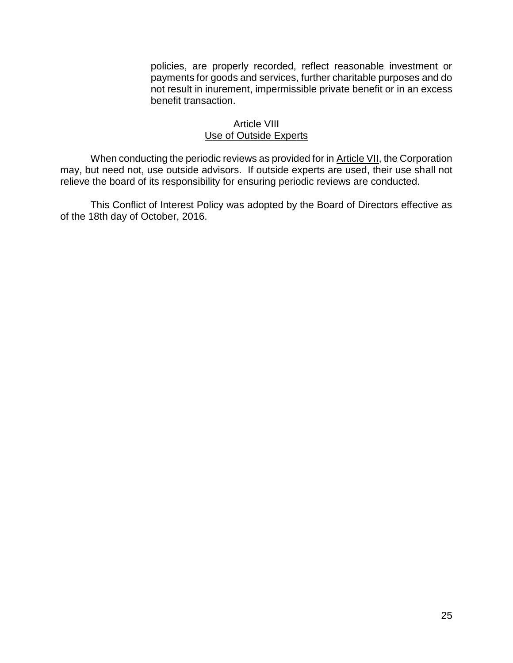policies, are properly recorded, reflect reasonable investment or payments for goods and services, further charitable purposes and do not result in inurement, impermissible private benefit or in an excess benefit transaction.

#### Article VIII Use of Outside Experts

When conducting the periodic reviews as provided for in Article VII, the Corporation may, but need not, use outside advisors. If outside experts are used, their use shall not relieve the board of its responsibility for ensuring periodic reviews are conducted.

This Conflict of Interest Policy was adopted by the Board of Directors effective as of the 18th day of October, 2016.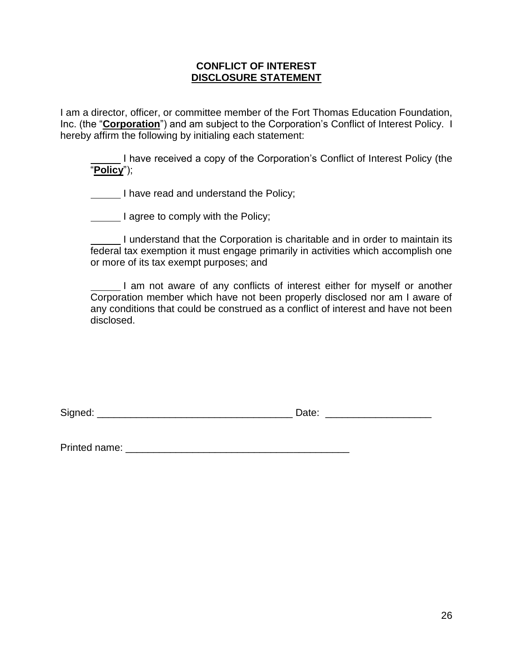### **CONFLICT OF INTEREST DISCLOSURE STATEMENT**

I am a director, officer, or committee member of the Fort Thomas Education Foundation, Inc. (the "**Corporation**") and am subject to the Corporation's Conflict of Interest Policy. I hereby affirm the following by initialing each statement:

I have received a copy of the Corporation's Conflict of Interest Policy (the "**Policy**");

I have read and understand the Policy;

I agree to comply with the Policy;

I understand that the Corporation is charitable and in order to maintain its federal tax exemption it must engage primarily in activities which accomplish one or more of its tax exempt purposes; and

I am not aware of any conflicts of interest either for myself or another Corporation member which have not been properly disclosed nor am I aware of any conditions that could be construed as a conflict of interest and have not been disclosed.

Printed name: \_\_\_\_\_\_\_\_\_\_\_\_\_\_\_\_\_\_\_\_\_\_\_\_\_\_\_\_\_\_\_\_\_\_\_\_\_\_\_\_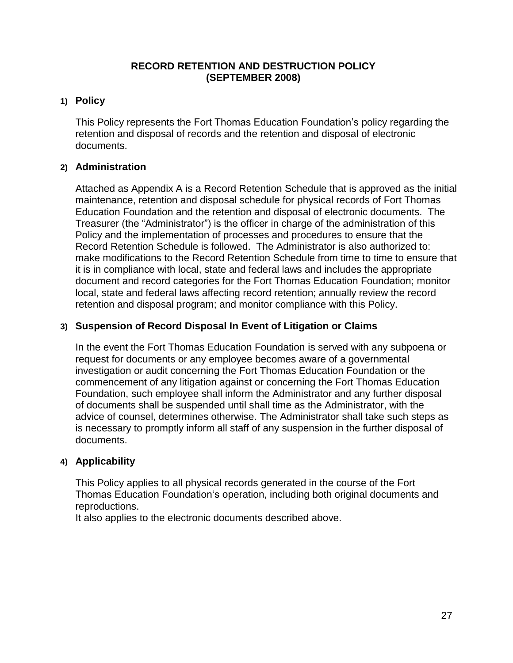### **RECORD RETENTION AND DESTRUCTION POLICY (SEPTEMBER 2008)**

## **1) Policy**

This Policy represents the Fort Thomas Education Foundation's policy regarding the retention and disposal of records and the retention and disposal of electronic documents.

### **2) Administration**

Attached as Appendix A is a Record Retention Schedule that is approved as the initial maintenance, retention and disposal schedule for physical records of Fort Thomas Education Foundation and the retention and disposal of electronic documents. The Treasurer (the "Administrator") is the officer in charge of the administration of this Policy and the implementation of processes and procedures to ensure that the Record Retention Schedule is followed. The Administrator is also authorized to: make modifications to the Record Retention Schedule from time to time to ensure that it is in compliance with local, state and federal laws and includes the appropriate document and record categories for the Fort Thomas Education Foundation; monitor local, state and federal laws affecting record retention; annually review the record retention and disposal program; and monitor compliance with this Policy.

## **3) Suspension of Record Disposal In Event of Litigation or Claims**

In the event the Fort Thomas Education Foundation is served with any subpoena or request for documents or any employee becomes aware of a governmental investigation or audit concerning the Fort Thomas Education Foundation or the commencement of any litigation against or concerning the Fort Thomas Education Foundation, such employee shall inform the Administrator and any further disposal of documents shall be suspended until shall time as the Administrator, with the advice of counsel, determines otherwise. The Administrator shall take such steps as is necessary to promptly inform all staff of any suspension in the further disposal of documents.

### **4) Applicability**

This Policy applies to all physical records generated in the course of the Fort Thomas Education Foundation's operation, including both original documents and reproductions.

It also applies to the electronic documents described above.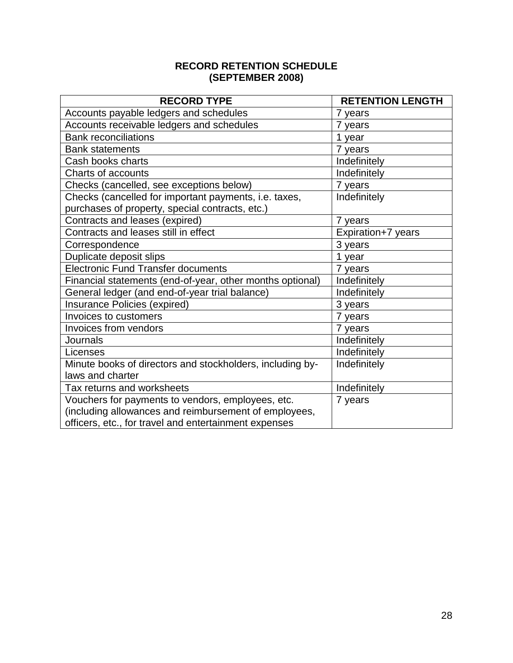## **RECORD RETENTION SCHEDULE (SEPTEMBER 2008)**

| <b>RECORD TYPE</b>                                        | <b>RETENTION LENGTH</b> |  |  |
|-----------------------------------------------------------|-------------------------|--|--|
| Accounts payable ledgers and schedules                    | 7 years                 |  |  |
| Accounts receivable ledgers and schedules                 | 7 years                 |  |  |
| <b>Bank reconciliations</b>                               | 1 year                  |  |  |
| <b>Bank statements</b>                                    | 7 years                 |  |  |
| Cash books charts                                         | Indefinitely            |  |  |
| <b>Charts of accounts</b>                                 | Indefinitely            |  |  |
| Checks (cancelled, see exceptions below)                  | 7 years                 |  |  |
| Checks (cancelled for important payments, i.e. taxes,     | Indefinitely            |  |  |
| purchases of property, special contracts, etc.)           |                         |  |  |
| Contracts and leases (expired)                            | 7 years                 |  |  |
| Contracts and leases still in effect                      | Expiration+7 years      |  |  |
| Correspondence                                            | 3 years                 |  |  |
| Duplicate deposit slips                                   | 1 year                  |  |  |
| <b>Electronic Fund Transfer documents</b>                 | 7 years                 |  |  |
| Financial statements (end-of-year, other months optional) | Indefinitely            |  |  |
| General ledger (and end-of-year trial balance)            | Indefinitely            |  |  |
| Insurance Policies (expired)                              | 3 years                 |  |  |
| Invoices to customers                                     | 7 years                 |  |  |
| Invoices from vendors                                     | 7 years                 |  |  |
| Journals                                                  | Indefinitely            |  |  |
| Licenses                                                  | Indefinitely            |  |  |
| Minute books of directors and stockholders, including by- | Indefinitely            |  |  |
| laws and charter                                          |                         |  |  |
| Tax returns and worksheets                                | Indefinitely            |  |  |
| Vouchers for payments to vendors, employees, etc.         | 7 years                 |  |  |
| (including allowances and reimbursement of employees,     |                         |  |  |
| officers, etc., for travel and entertainment expenses     |                         |  |  |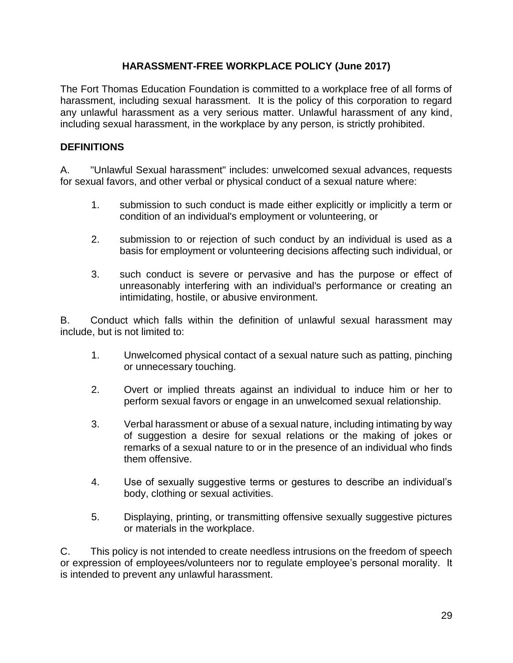## **HARASSMENT-FREE WORKPLACE POLICY (June 2017)**

The Fort Thomas Education Foundation is committed to a workplace free of all forms of harassment, including sexual harassment. It is the policy of this corporation to regard any unlawful harassment as a very serious matter. Unlawful harassment of any kind, including sexual harassment, in the workplace by any person, is strictly prohibited.

## **DEFINITIONS**

A. "Unlawful Sexual harassment" includes: unwelcomed sexual advances, requests for sexual favors, and other verbal or physical conduct of a sexual nature where:

- 1. submission to such conduct is made either explicitly or implicitly a term or condition of an individual's employment or volunteering, or
- 2. submission to or rejection of such conduct by an individual is used as a basis for employment or volunteering decisions affecting such individual, or
- 3. such conduct is severe or pervasive and has the purpose or effect of unreasonably interfering with an individual's performance or creating an intimidating, hostile, or abusive environment.

B. Conduct which falls within the definition of unlawful sexual harassment may include, but is not limited to:

- 1. Unwelcomed physical contact of a sexual nature such as patting, pinching or unnecessary touching.
- 2. Overt or implied threats against an individual to induce him or her to perform sexual favors or engage in an unwelcomed sexual relationship.
- 3. Verbal harassment or abuse of a sexual nature, including intimating by way of suggestion a desire for sexual relations or the making of jokes or remarks of a sexual nature to or in the presence of an individual who finds them offensive.
- 4. Use of sexually suggestive terms or gestures to describe an individual's body, clothing or sexual activities.
- 5. Displaying, printing, or transmitting offensive sexually suggestive pictures or materials in the workplace.

C. This policy is not intended to create needless intrusions on the freedom of speech or expression of employees/volunteers nor to regulate employee's personal morality. It is intended to prevent any unlawful harassment.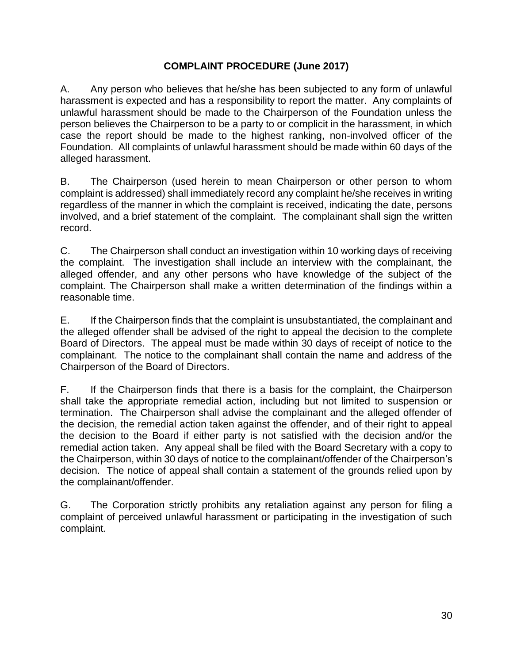## **COMPLAINT PROCEDURE (June 2017)**

A. Any person who believes that he/she has been subjected to any form of unlawful harassment is expected and has a responsibility to report the matter. Any complaints of unlawful harassment should be made to the Chairperson of the Foundation unless the person believes the Chairperson to be a party to or complicit in the harassment, in which case the report should be made to the highest ranking, non-involved officer of the Foundation. All complaints of unlawful harassment should be made within 60 days of the alleged harassment.

B. The Chairperson (used herein to mean Chairperson or other person to whom complaint is addressed) shall immediately record any complaint he/she receives in writing regardless of the manner in which the complaint is received, indicating the date, persons involved, and a brief statement of the complaint. The complainant shall sign the written record.

C. The Chairperson shall conduct an investigation within 10 working days of receiving the complaint. The investigation shall include an interview with the complainant, the alleged offender, and any other persons who have knowledge of the subject of the complaint. The Chairperson shall make a written determination of the findings within a reasonable time.

E. If the Chairperson finds that the complaint is unsubstantiated, the complainant and the alleged offender shall be advised of the right to appeal the decision to the complete Board of Directors. The appeal must be made within 30 days of receipt of notice to the complainant. The notice to the complainant shall contain the name and address of the Chairperson of the Board of Directors.

F. If the Chairperson finds that there is a basis for the complaint, the Chairperson shall take the appropriate remedial action, including but not limited to suspension or termination. The Chairperson shall advise the complainant and the alleged offender of the decision, the remedial action taken against the offender, and of their right to appeal the decision to the Board if either party is not satisfied with the decision and/or the remedial action taken. Any appeal shall be filed with the Board Secretary with a copy to the Chairperson, within 30 days of notice to the complainant/offender of the Chairperson's decision. The notice of appeal shall contain a statement of the grounds relied upon by the complainant/offender.

G. The Corporation strictly prohibits any retaliation against any person for filing a complaint of perceived unlawful harassment or participating in the investigation of such complaint.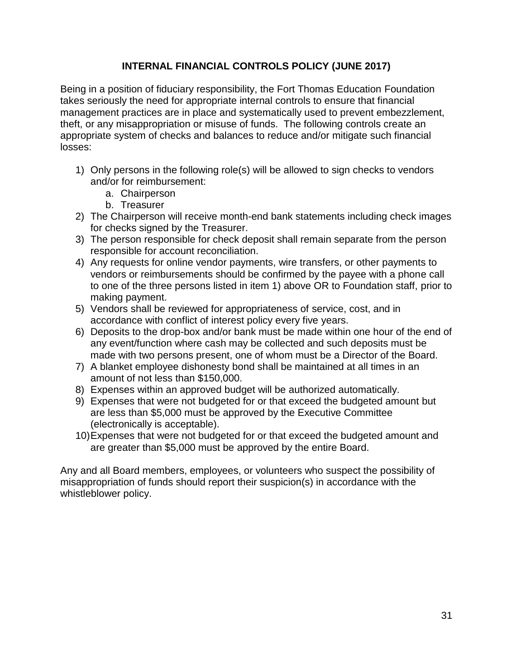## **INTERNAL FINANCIAL CONTROLS POLICY (JUNE 2017)**

Being in a position of fiduciary responsibility, the Fort Thomas Education Foundation takes seriously the need for appropriate internal controls to ensure that financial management practices are in place and systematically used to prevent embezzlement, theft, or any misappropriation or misuse of funds. The following controls create an appropriate system of checks and balances to reduce and/or mitigate such financial losses:

- 1) Only persons in the following role(s) will be allowed to sign checks to vendors and/or for reimbursement:
	- a. Chairperson
	- b. Treasurer
- 2) The Chairperson will receive month-end bank statements including check images for checks signed by the Treasurer.
- 3) The person responsible for check deposit shall remain separate from the person responsible for account reconciliation.
- 4) Any requests for online vendor payments, wire transfers, or other payments to vendors or reimbursements should be confirmed by the payee with a phone call to one of the three persons listed in item 1) above OR to Foundation staff, prior to making payment.
- 5) Vendors shall be reviewed for appropriateness of service, cost, and in accordance with conflict of interest policy every five years.
- 6) Deposits to the drop-box and/or bank must be made within one hour of the end of any event/function where cash may be collected and such deposits must be made with two persons present, one of whom must be a Director of the Board.
- 7) A blanket employee dishonesty bond shall be maintained at all times in an amount of not less than \$150,000.
- 8) Expenses within an approved budget will be authorized automatically.
- 9) Expenses that were not budgeted for or that exceed the budgeted amount but are less than \$5,000 must be approved by the Executive Committee (electronically is acceptable).
- 10)Expenses that were not budgeted for or that exceed the budgeted amount and are greater than \$5,000 must be approved by the entire Board.

Any and all Board members, employees, or volunteers who suspect the possibility of misappropriation of funds should report their suspicion(s) in accordance with the whistleblower policy.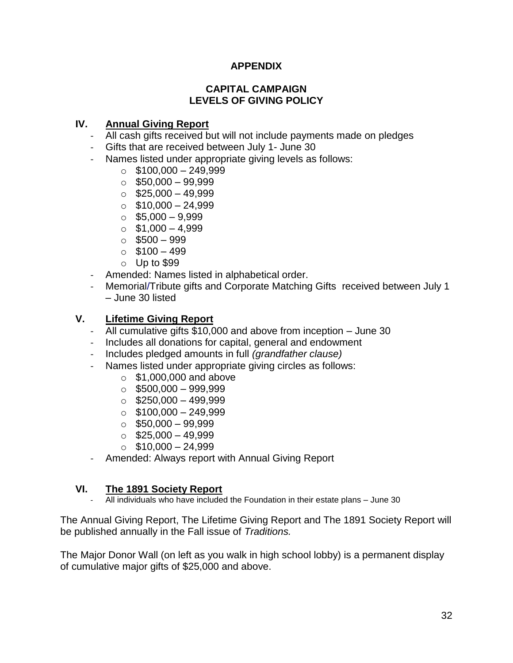# **APPENDIX**

### **CAPITAL CAMPAIGN LEVELS OF GIVING POLICY**

## **IV. Annual Giving Report**

- All cash gifts received but will not include payments made on pledges
- Gifts that are received between July 1- June 30
- Names listed under appropriate giving levels as follows:
	- $\circ$  \$100,000 249,999
	- $\circ$  \$50,000 99,999
	- $\circ$  \$25,000 49,999
	- $\circ$  \$10,000 24,999
	- $\circ$  \$5,000 9,999
	- $\circ$  \$1,000 4,999
	- $\circ$  \$500 999
	- $\circ$  \$100 499
	- o Up to \$99
- Amended: Names listed in alphabetical order.
- Memorial/Tribute gifts and Corporate Matching Gifts received between July 1 – June 30 listed

### **V. Lifetime Giving Report**

- All cumulative gifts \$10,000 and above from inception June 30
- Includes all donations for capital, general and endowment
- Includes pledged amounts in full *(grandfather clause)*
- Names listed under appropriate giving circles as follows:
	- $\circ$  \$1,000,000 and above
	- $\circ$  \$500,000 999,999
	- $\circ$  \$250,000 499,999
	- $\circ$  \$100,000 249,999
	- $\circ$  \$50,000 99,999
	- $\circ$  \$25,000 49,999
	- $\circ$  \$10,000 24,999
- Amended: Always report with Annual Giving Report

### **VI. The 1891 Society Report**

All individuals who have included the Foundation in their estate plans – June 30

The Annual Giving Report, The Lifetime Giving Report and The 1891 Society Report will be published annually in the Fall issue of *Traditions.*

The Major Donor Wall (on left as you walk in high school lobby) is a permanent display of cumulative major gifts of \$25,000 and above.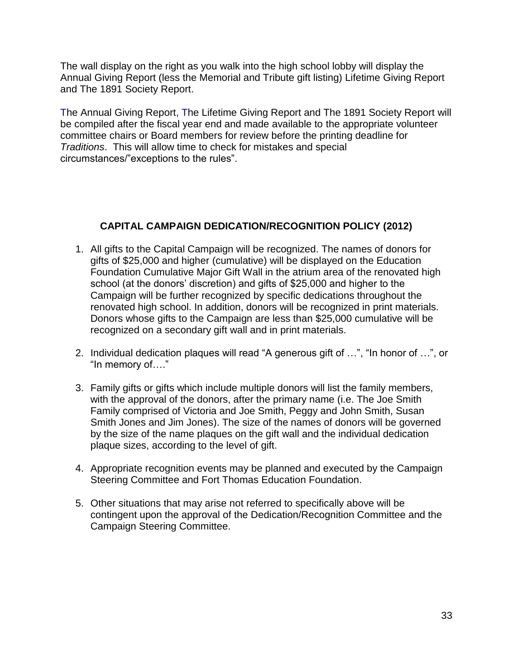The wall display on the right as you walk into the high school lobby will display the Annual Giving Report (less the Memorial and Tribute gift listing) Lifetime Giving Report and The 1891 Society Report.

The Annual Giving Report, The Lifetime Giving Report and The 1891 Society Report will be compiled after the fiscal year end and made available to the appropriate volunteer committee chairs or Board members for review before the printing deadline for *Traditions*. This will allow time to check for mistakes and special circumstances/"exceptions to the rules".

## **CAPITAL CAMPAIGN DEDICATION/RECOGNITION POLICY (2012)**

- 1. All gifts to the Capital Campaign will be recognized. The names of donors for gifts of \$25,000 and higher (cumulative) will be displayed on the Education Foundation Cumulative Major Gift Wall in the atrium area of the renovated high school (at the donors' discretion) and gifts of \$25,000 and higher to the Campaign will be further recognized by specific dedications throughout the renovated high school. In addition, donors will be recognized in print materials. Donors whose gifts to the Campaign are less than \$25,000 cumulative will be recognized on a secondary gift wall and in print materials.
- 2. Individual dedication plaques will read "A generous gift of …", "In honor of …", or "In memory of…."
- 3. Family gifts or gifts which include multiple donors will list the family members, with the approval of the donors, after the primary name (i.e. The Joe Smith Family comprised of Victoria and Joe Smith, Peggy and John Smith, Susan Smith Jones and Jim Jones). The size of the names of donors will be governed by the size of the name plaques on the gift wall and the individual dedication plaque sizes, according to the level of gift.
- 4. Appropriate recognition events may be planned and executed by the Campaign Steering Committee and Fort Thomas Education Foundation.
- 5. Other situations that may arise not referred to specifically above will be contingent upon the approval of the Dedication/Recognition Committee and the Campaign Steering Committee.